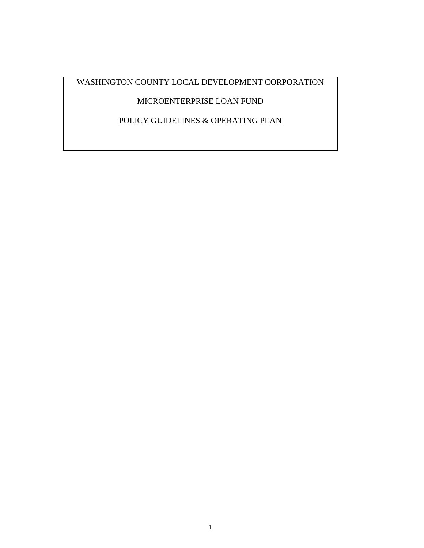WASHINGTON COUNTY LOCAL DEVELOPMENT CORPORATION

# MICROENTERPRISE LOAN FUND

POLICY GUIDELINES & OPERATING PLAN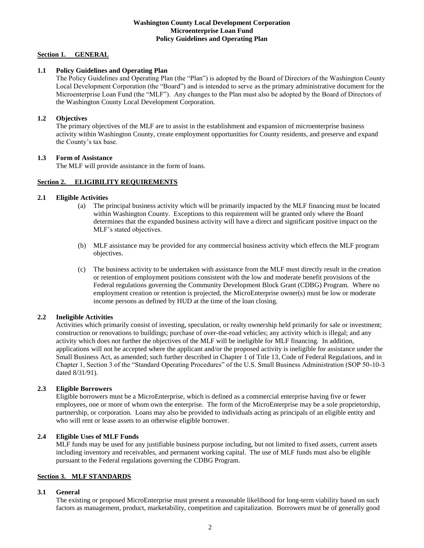#### **Washington County Local Development Corporation Microenterprise Loan Fund Policy Guidelines and Operating Plan**

# **Section 1. GENERAL**

# **1.1 Policy Guidelines and Operating Plan**

The Policy Guidelines and Operating Plan (the "Plan") is adopted by the Board of Directors of the Washington County Local Development Corporation (the "Board") and is intended to serve as the primary administrative document for the Microenterprise Loan Fund (the "MLF"). Any changes to the Plan must also be adopted by the Board of Directors of the Washington County Local Development Corporation.

# **1.2 Objectives**

The primary objectives of the MLF are to assist in the establishment and expansion of microenterprise business activity within Washington County, create employment opportunities for County residents, and preserve and expand the County's tax base.

# **1.3 Form of Assistance**

The MLF will provide assistance in the form of loans.

# **Section 2. ELIGIBILITY REQUIREMENTS**

# **2.1 Eligible Activities**

- (a) The principal business activity which will be primarily impacted by the MLF financing must be located within Washington County. Exceptions to this requirement will be granted only where the Board determines that the expanded business activity will have a direct and significant positive impact on the MLF's stated objectives.
- (b) MLF assistance may be provided for any commercial business activity which effects the MLF program objectives.
- (c) The business activity to be undertaken with assistance from the MLF must directly result in the creation or retention of employment positions consistent with the low and moderate benefit provisions of the Federal regulations governing the Community Development Block Grant (CDBG) Program. Where no employment creation or retention is projected, the MicroEnterprise owner(s) must be low or moderate income persons as defined by HUD at the time of the loan closing.

# **2.2 Ineligible Activities**

Activities which primarily consist of investing, speculation, or realty ownership held primarily for sale or investment; construction or renovations to buildings; purchase of over-the-road vehicles; any activity which is illegal; and any activity which does not further the objectives of the MLF will be ineligible for MLF financing. In addition, applications will not be accepted where the applicant and/or the proposed activity is ineligible for assistance under the Small Business Act, as amended; such further described in Chapter 1 of Title 13, Code of Federal Regulations, and in Chapter 1, Section 3 of the "Standard Operating Procedures" of the U.S. Small Business Administration (SOP 50-10-3 dated 8/31/91).

# **2.3 Eligible Borrowers**

Eligible borrowers must be a MicroEnterprise, which is defined as a commercial enterprise having five or fewer employees, one or more of whom own the enterprise. The form of the MicroEnterprise may be a sole proprietorship, partnership, or corporation. Loans may also be provided to individuals acting as principals of an eligible entity and who will rent or lease assets to an otherwise eligible borrower.

# **2.4 Eligible Uses of MLF Funds**

MLF funds may be used for any justifiable business purpose including, but not limited to fixed assets, current assets including inventory and receivables, and permanent working capital. The use of MLF funds must also be eligible pursuant to the Federal regulations governing the CDBG Program.

# **Section 3. MLF STANDARDS**

# **3.1 General**

The existing or proposed MicroEnterprise must present a reasonable likelihood for long-term viability based on such factors as management, product, marketability, competition and capitalization. Borrowers must be of generally good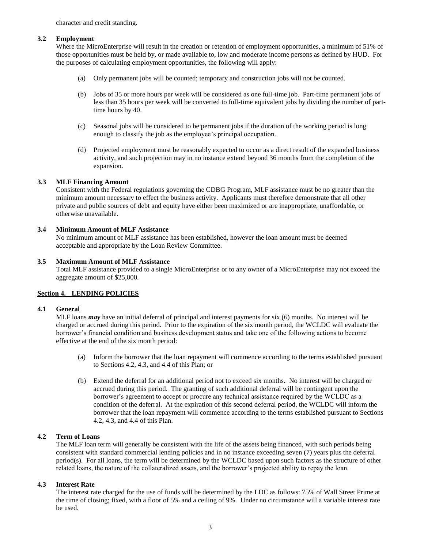character and credit standing.

#### **3.2 Employment**

Where the MicroEnterprise will result in the creation or retention of employment opportunities, a minimum of 51% of those opportunities must be held by, or made available to, low and moderate income persons as defined by HUD. For the purposes of calculating employment opportunities, the following will apply:

- (a) Only permanent jobs will be counted; temporary and construction jobs will not be counted.
- (b) Jobs of 35 or more hours per week will be considered as one full-time job. Part-time permanent jobs of less than 35 hours per week will be converted to full-time equivalent jobs by dividing the number of parttime hours by 40.
- (c) Seasonal jobs will be considered to be permanent jobs if the duration of the working period is long enough to classify the job as the employee's principal occupation.
- (d) Projected employment must be reasonably expected to occur as a direct result of the expanded business activity, and such projection may in no instance extend beyond 36 months from the completion of the expansion.

#### **3.3 MLF Financing Amount**

Consistent with the Federal regulations governing the CDBG Program, MLF assistance must be no greater than the minimum amount necessary to effect the business activity. Applicants must therefore demonstrate that all other private and public sources of debt and equity have either been maximized or are inappropriate, unaffordable, or otherwise unavailable.

#### **3.4 Minimum Amount of MLF Assistance**

No minimum amount of MLF assistance has been established, however the loan amount must be deemed acceptable and appropriate by the Loan Review Committee.

#### **3.5 Maximum Amount of MLF Assistance**

Total MLF assistance provided to a single MicroEnterprise or to any owner of a MicroEnterprise may not exceed the aggregate amount of \$25,000.

# **Section 4. LENDING POLICIES**

#### **4.1 General**

MLF loans *may* have an initial deferral of principal and interest payments for six (6) months. No interest will be charged or accrued during this period. Prior to the expiration of the six month period, the WCLDC will evaluate the borrower's financial condition and business development status and take one of the following actions to become effective at the end of the six month period:

- (a) Inform the borrower that the loan repayment will commence according to the terms established pursuant to Sections 4.2, 4.3, and 4.4 of this Plan; or
- (b) Extend the deferral for an additional period not to exceed six months**.** No interest will be charged or accrued during this period. The granting of such additional deferral will be contingent upon the borrower's agreement to accept or procure any technical assistance required by the WCLDC as a condition of the deferral. At the expiration of this second deferral period, the WCLDC will inform the borrower that the loan repayment will commence according to the terms established pursuant to Sections 4.2, 4.3, and 4.4 of this Plan.

# **4.2 Term of Loans**

The MLF loan term will generally be consistent with the life of the assets being financed, with such periods being consistent with standard commercial lending policies and in no instance exceeding seven (7) years plus the deferral period(s). For all loans, the term will be determined by the WCLDC based upon such factors as the structure of other related loans, the nature of the collateralized assets, and the borrower's projected ability to repay the loan.

# **4.3 Interest Rate**

The interest rate charged for the use of funds will be determined by the LDC as follows: 75% of Wall Street Prime at the time of closing; fixed, with a floor of 5% and a ceiling of 9%. Under no circumstance will a variable interest rate be used.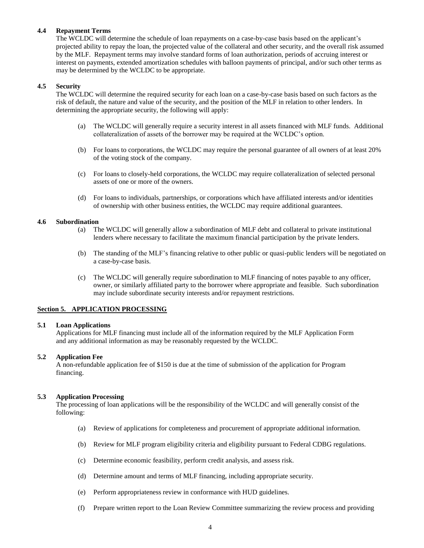# **4.4 Repayment Terms**

The WCLDC will determine the schedule of loan repayments on a case-by-case basis based on the applicant's projected ability to repay the loan, the projected value of the collateral and other security, and the overall risk assumed by the MLF. Repayment terms may involve standard forms of loan authorization, periods of accruing interest or interest on payments, extended amortization schedules with balloon payments of principal, and/or such other terms as may be determined by the WCLDC to be appropriate.

# **4.5 Security**

The WCLDC will determine the required security for each loan on a case-by-case basis based on such factors as the risk of default, the nature and value of the security, and the position of the MLF in relation to other lenders. In determining the appropriate security, the following will apply:

- (a) The WCLDC will generally require a security interest in all assets financed with MLF funds. Additional collateralization of assets of the borrower may be required at the WCLDC's option.
- (b) For loans to corporations, the WCLDC may require the personal guarantee of all owners of at least 20% of the voting stock of the company.
- (c) For loans to closely-held corporations, the WCLDC may require collateralization of selected personal assets of one or more of the owners.
- (d) For loans to individuals, partnerships, or corporations which have affiliated interests and/or identities of ownership with other business entities, the WCLDC may require additional guarantees.

# **4.6 Subordination**

- (a) The WCLDC will generally allow a subordination of MLF debt and collateral to private institutional lenders where necessary to facilitate the maximum financial participation by the private lenders.
- (b) The standing of the MLF's financing relative to other public or quasi-public lenders will be negotiated on a case-by-case basis.
- (c) The WCLDC will generally require subordination to MLF financing of notes payable to any officer, owner, or similarly affiliated party to the borrower where appropriate and feasible. Such subordination may include subordinate security interests and/or repayment restrictions.

# **Section 5. APPLICATION PROCESSING**

#### **5.1 Loan Applications**

Applications for MLF financing must include all of the information required by the MLF Application Form and any additional information as may be reasonably requested by the WCLDC.

# **5.2 Application Fee**

A non-refundable application fee of \$150 is due at the time of submission of the application for Program financing.

#### **5.3 Application Processing**

The processing of loan applications will be the responsibility of the WCLDC and will generally consist of the following:

- (a) Review of applications for completeness and procurement of appropriate additional information.
- (b) Review for MLF program eligibility criteria and eligibility pursuant to Federal CDBG regulations.
- (c) Determine economic feasibility, perform credit analysis, and assess risk.
- (d) Determine amount and terms of MLF financing, including appropriate security.
- (e) Perform appropriateness review in conformance with HUD guidelines.
- (f) Prepare written report to the Loan Review Committee summarizing the review process and providing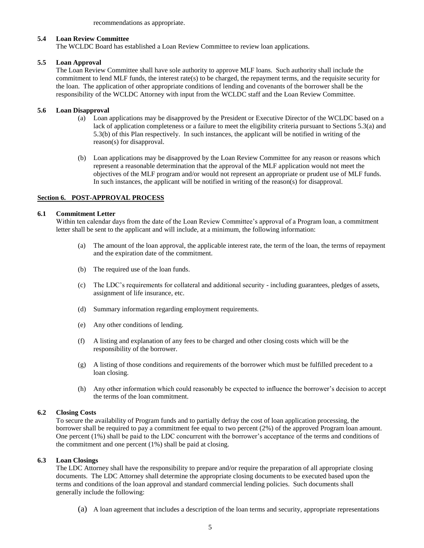recommendations as appropriate.

#### **5.4 Loan Review Committee**

The WCLDC Board has established a Loan Review Committee to review loan applications.

#### **5.5 Loan Approval**

The Loan Review Committee shall have sole authority to approve MLF loans. Such authority shall include the commitment to lend MLF funds, the interest rate(s) to be charged, the repayment terms, and the requisite security for the loan. The application of other appropriate conditions of lending and covenants of the borrower shall be the responsibility of the WCLDC Attorney with input from the WCLDC staff and the Loan Review Committee.

# **5.6 Loan Disapproval**

- (a) Loan applications may be disapproved by the President or Executive Director of the WCLDC based on a lack of application completeness or a failure to meet the eligibility criteria pursuant to Sections 5.3(a) and 5.3(b) of this Plan respectively. In such instances, the applicant will be notified in writing of the reason(s) for disapproval.
- (b) Loan applications may be disapproved by the Loan Review Committee for any reason or reasons which represent a reasonable determination that the approval of the MLF application would not meet the objectives of the MLF program and/or would not represent an appropriate or prudent use of MLF funds. In such instances, the applicant will be notified in writing of the reason(s) for disapproval.

#### **Section 6. POST-APPROVAL PROCESS**

#### **6.1 Commitment Letter**

Within ten calendar days from the date of the Loan Review Committee's approval of a Program loan, a commitment letter shall be sent to the applicant and will include, at a minimum, the following information:

- (a) The amount of the loan approval, the applicable interest rate, the term of the loan, the terms of repayment and the expiration date of the commitment.
- (b) The required use of the loan funds.
- (c) The LDC's requirements for collateral and additional security including guarantees, pledges of assets, assignment of life insurance, etc.
- (d) Summary information regarding employment requirements.
- (e) Any other conditions of lending.
- (f) A listing and explanation of any fees to be charged and other closing costs which will be the responsibility of the borrower.
- (g) A listing of those conditions and requirements of the borrower which must be fulfilled precedent to a loan closing.
- (h) Any other information which could reasonably be expected to influence the borrower's decision to accept the terms of the loan commitment.

# **6.2 Closing Costs**

To secure the availability of Program funds and to partially defray the cost of loan application processing, the borrower shall be required to pay a commitment fee equal to two percent (2%) of the approved Program loan amount. One percent (1%) shall be paid to the LDC concurrent with the borrower's acceptance of the terms and conditions of the commitment and one percent (1%) shall be paid at closing.

# **6.3 Loan Closings**

The LDC Attorney shall have the responsibility to prepare and/or require the preparation of all appropriate closing documents. The LDC Attorney shall determine the appropriate closing documents to be executed based upon the terms and conditions of the loan approval and standard commercial lending policies. Such documents shall generally include the following:

(a) A loan agreement that includes a description of the loan terms and security, appropriate representations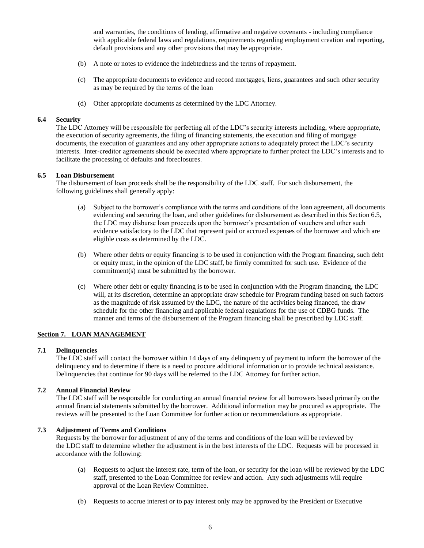and warranties, the conditions of lending, affirmative and negative covenants - including compliance with applicable federal laws and regulations, requirements regarding employment creation and reporting, default provisions and any other provisions that may be appropriate.

- (b) A note or notes to evidence the indebtedness and the terms of repayment.
- (c) The appropriate documents to evidence and record mortgages, liens, guarantees and such other security as may be required by the terms of the loan
- (d) Other appropriate documents as determined by the LDC Attorney.

#### **6.4 Security**

The LDC Attorney will be responsible for perfecting all of the LDC's security interests including, where appropriate, the execution of security agreements, the filing of financing statements, the execution and filing of mortgage documents, the execution of guarantees and any other appropriate actions to adequately protect the LDC's security interests. Inter-creditor agreements should be executed where appropriate to further protect the LDC's interests and to facilitate the processing of defaults and foreclosures.

#### **6.5 Loan Disbursement**

The disbursement of loan proceeds shall be the responsibility of the LDC staff. For such disbursement, the following guidelines shall generally apply:

- (a) Subject to the borrower's compliance with the terms and conditions of the loan agreement, all documents evidencing and securing the loan, and other guidelines for disbursement as described in this Section 6.5, the LDC may disburse loan proceeds upon the borrower's presentation of vouchers and other such evidence satisfactory to the LDC that represent paid or accrued expenses of the borrower and which are eligible costs as determined by the LDC.
- (b) Where other debts or equity financing is to be used in conjunction with the Program financing, such debt or equity must, in the opinion of the LDC staff, be firmly committed for such use. Evidence of the commitment(s) must be submitted by the borrower.
- (c) Where other debt or equity financing is to be used in conjunction with the Program financing, the LDC will, at its discretion, determine an appropriate draw schedule for Program funding based on such factors as the magnitude of risk assumed by the LDC, the nature of the activities being financed, the draw schedule for the other financing and applicable federal regulations for the use of CDBG funds. The manner and terms of the disbursement of the Program financing shall be prescribed by LDC staff.

# **Section 7. LOAN MANAGEMENT**

#### **7.1 Delinquencies**

The LDC staff will contact the borrower within 14 days of any delinquency of payment to inform the borrower of the delinquency and to determine if there is a need to procure additional information or to provide technical assistance. Delinquencies that continue for 90 days will be referred to the LDC Attorney for further action.

# **7.2 Annual Financial Review**

The LDC staff will be responsible for conducting an annual financial review for all borrowers based primarily on the annual financial statements submitted by the borrower. Additional information may be procured as appropriate. The reviews will be presented to the Loan Committee for further action or recommendations as appropriate.

#### **7.3 Adjustment of Terms and Conditions**

Requests by the borrower for adjustment of any of the terms and conditions of the loan will be reviewed by the LDC staff to determine whether the adjustment is in the best interests of the LDC. Requests will be processed in accordance with the following:

- (a) Requests to adjust the interest rate, term of the loan, or security for the loan will be reviewed by the LDC staff, presented to the Loan Committee for review and action. Any such adjustments will require approval of the Loan Review Committee.
- (b) Requests to accrue interest or to pay interest only may be approved by the President or Executive